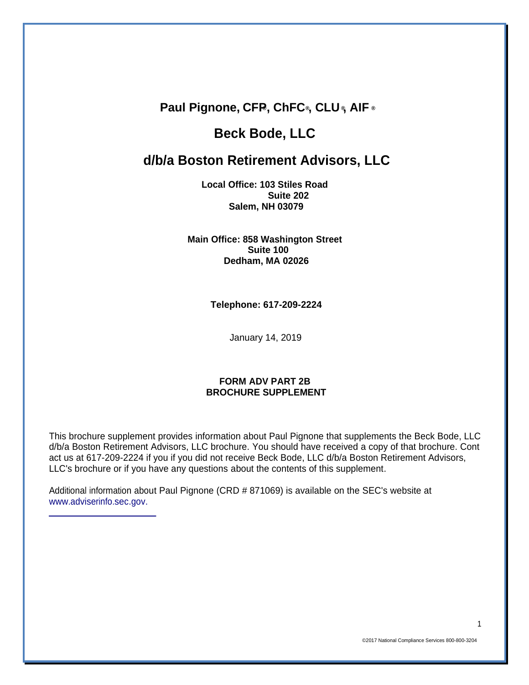### **Paul Pignone, CFP®, ChFC®, CLU ®, AIF ®**

# **Beck Bode, LLC**

## **d/b/a Boston Retirement Advisors, LLC**

**Local Office: 103 Stiles Road Suite 202 Salem, NH 03079**

**Main Office: 858 Washington Street Suite 100 Dedham, MA 02026**

**Telephone: 617-209-2224**

January 14, 2019

#### **FORM ADV PART 2B BROCHURE SUPPLEMENT**

This brochure supplement provides information about Paul Pignone that supplements the Beck Bode, LLC d/b/a Boston Retirement Advisors, LLC brochure. You should have received a copy of that brochure. Cont act us at 617-209-2224 if you if you did not receive Beck Bode, LLC d/b/a Boston Retirement Advisors, LLC's brochure or if you have any questions about the contents of this supplement.

Additional information about Paul Pignone (CRD # 871069) is available on the SEC's website at [www.adviserinfo.sec.gov.](http://www.adviserinfo.sec.gov./)

1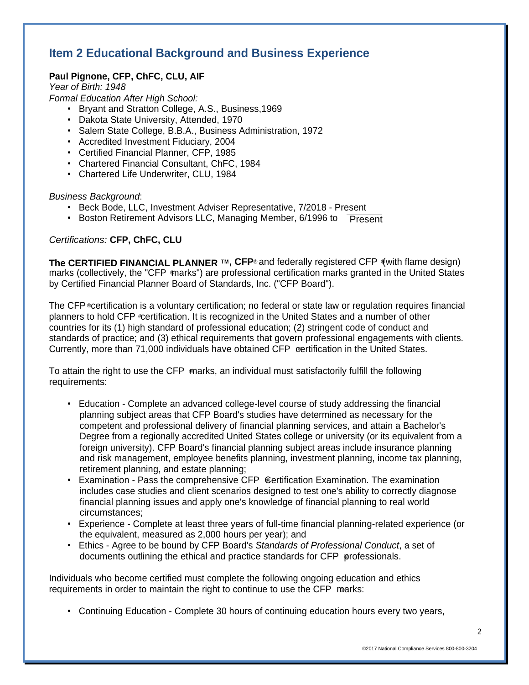# **Item 2 Educational Background and Business Experience**

### **Paul Pignone, CFP, ChFC, CLU, AIF**

*Year of Birth: 1948 Formal Education After High School:*

- Bryant and Stratton College, A.S., Business,1969
- Dakota State University, Attended, 1970
- Salem State College, B.B.A., Business Administration, 1972
- Accredited Investment Fiduciary, 2004
- Certified Financial Planner, CFP, 1985
- Chartered Financial Consultant, ChFC, 1984
- Chartered Life Underwriter, CLU, 1984

#### *Business Background*:

- Beck Bode, LLC, Investment Adviser Representative, 7/2018 Present
- Boston Retirement Advisors LLC, Managing Member, 6/1996 to Present

#### *Certifications:* **CFP, ChFC, CLU**

**The CERTIFIED FINANCIAL PLANNER ™, CFP<sup>®</sup> and federally registered CFP (with flame design)** ® marks (collectively, the "CFP marks") are professional certification marks granted in the United States by Certified Financial Planner Board of Standards, Inc. ("CFP Board").

The CFP ©certification is a voluntary certification; no federal or state law or regulation requires financial planners to hold CFP certification. It is recognized in the United States and a number of other ® Currently, more than 71,000 individuals have obtained CFP certification in the United States. countries for its (1) high standard of professional education; (2) stringent code of conduct and standards of practice; and (3) ethical requirements that govern professional engagements with clients.

® To attain the right to use the CFP marks, an individual must satisfactorily fulfill the following requirements:

- Education Complete an advanced college-level course of study addressing the financial planning subject areas that CFP Board's studies have determined as necessary for the competent and professional delivery of financial planning services, and attain a Bachelor's Degree from a regionally accredited United States college or university (or its equivalent from a foreign university). CFP Board's financial planning subject areas include insurance planning and risk management, employee benefits planning, investment planning, income tax planning, retirement planning, and estate planning;
- Examination Pass the comprehensive CFP Certification Examination. The examination includes case studies and client scenarios designed to test one's ability to correctly diagnose financial planning issues and apply one's knowledge of financial planning to real world circumstances;
- Experience Complete at least three years of full-time financial planning-related experience (or the equivalent, measured as 2,000 hours per year); and
- ® documents outlining the ethical and practice standards for CFP professionals. • Ethics - Agree to be bound by CFP Board's *Standards of Professional Conduct*, a set of

requirements in order to maintain the right to continue to use the CFP marks: Individuals who become certified must complete the following ongoing education and ethics

• Continuing Education - Complete 30 hours of continuing education hours every two years,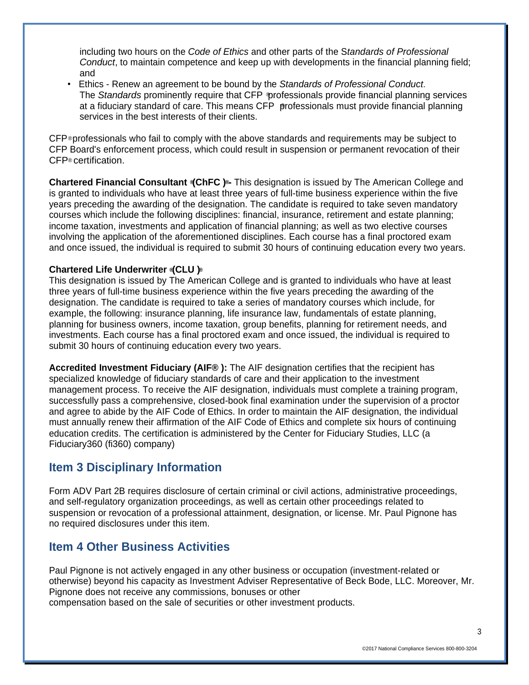including two hours on the *Code of Ethics* and other parts of the S*tandards of Professional Conduct*, to maintain competence and keep up with developments in the financial planning field; and

The *Standards* prominently require that CFP professionals provide financial planning services at a fiduciary standard of care. This means CFP professionals must provide financial planning • Ethics - Renew an agreement to be bound by the *Standards of Professional Conduct*. services in the best interests of their clients.

CFP®professionals who fail to comply with the above standards and requirements may be subject to CFP® certification. CFP Board's enforcement process, which could result in suspension or permanent revocation of their

**® ® Chartered Financial Consultant (ChFC ) -** This designation is issued by The American College and is granted to individuals who have at least three years of full-time business experience within the five years preceding the awarding of the designation. The candidate is required to take seven mandatory courses which include the following disciplines: financial, insurance, retirement and estate planning; income taxation, investments and application of financial planning; as well as two elective courses involving the application of the aforementioned disciplines. Each course has a final proctored exam and once issued, the individual is required to submit 30 hours of continuing education every two years.

#### **® ® Chartered Life Underwriter (CLU )**

This designation is issued by The American College and is granted to individuals who have at least three years of full-time business experience within the five years preceding the awarding of the designation. The candidate is required to take a series of mandatory courses which include, for example, the following: insurance planning, life insurance law, fundamentals of estate planning, planning for business owners, income taxation, group benefits, planning for retirement needs, and investments. Each course has a final proctored exam and once issued, the individual is required to submit 30 hours of continuing education every two years.

**Accredited Investment Fiduciary (AIF® ):** The AIF designation certifies that the recipient has specialized knowledge of fiduciary standards of care and their application to the investment management process. To receive the AIF designation, individuals must complete a training program, successfully pass a comprehensive, closed-book final examination under the supervision of a proctor and agree to abide by the AIF Code of Ethics. In order to maintain the AIF designation, the individual must annually renew their affirmation of the AIF Code of Ethics and complete six hours of continuing education credits. The certification is administered by the Center for Fiduciary Studies, LLC (a Fiduciary360 (fi360) company)

## **Item 3 Disciplinary Information**

Form ADV Part 2B requires disclosure of certain criminal or civil actions, administrative proceedings, and self-regulatory organization proceedings, as well as certain other proceedings related to suspension or revocation of a professional attainment, designation, or license. Mr. Paul Pignone has no required disclosures under this item.

### **Item 4 Other Business Activities**

Paul Pignone is not actively engaged in any other business or occupation (investment-related or otherwise) beyond his capacity as Investment Adviser Representative of Beck Bode, LLC. Moreover, Mr. Pignone does not receive any commissions, bonuses or other compensation based on the sale of securities or other investment products.